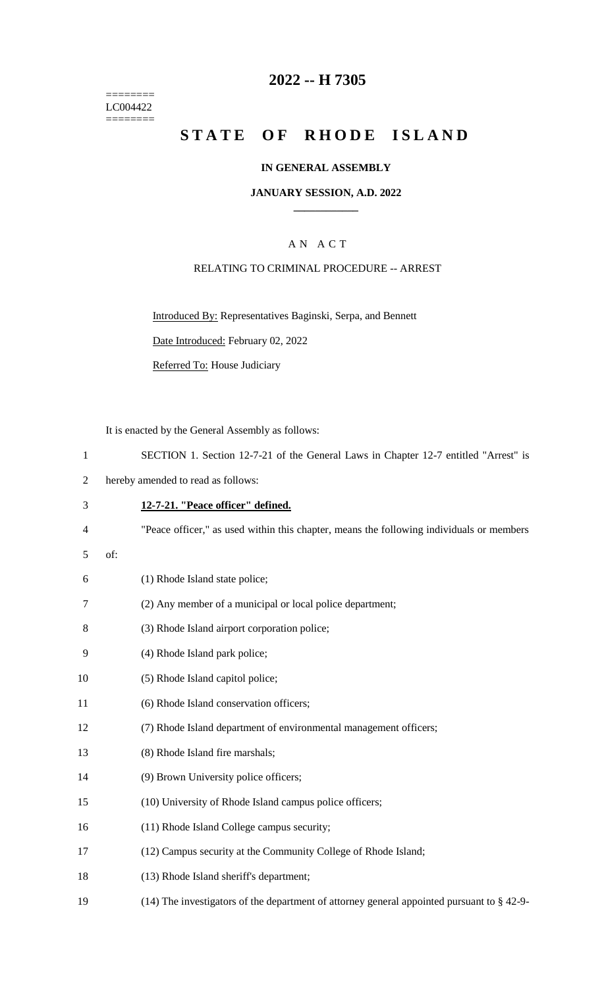======== LC004422 ========

## **2022 -- H 7305**

# **STATE OF RHODE ISLAND**

#### **IN GENERAL ASSEMBLY**

#### **JANUARY SESSION, A.D. 2022 \_\_\_\_\_\_\_\_\_\_\_\_**

## A N A C T

#### RELATING TO CRIMINAL PROCEDURE -- ARREST

Introduced By: Representatives Baginski, Serpa, and Bennett

Date Introduced: February 02, 2022

Referred To: House Judiciary

It is enacted by the General Assembly as follows:

- 2 hereby amended to read as follows:
- 3 **12-7-21. "Peace officer" defined.**
- 4 "Peace officer," as used within this chapter, means the following individuals or members
- 5 of:

| 6 | (1) Rhode Island state police; |  |
|---|--------------------------------|--|
|---|--------------------------------|--|

- 7 (2) Any member of a municipal or local police department;
- 8 (3) Rhode Island airport corporation police;
- 9 (4) Rhode Island park police;
- 10 (5) Rhode Island capitol police;
- 11 (6) Rhode Island conservation officers;
- 12 (7) Rhode Island department of environmental management officers;
- 13 (8) Rhode Island fire marshals;
- 14 (9) Brown University police officers;
- 15 (10) University of Rhode Island campus police officers;
- 16 (11) Rhode Island College campus security;
- 17 (12) Campus security at the Community College of Rhode Island;
- 18 (13) Rhode Island sheriff's department;
- 19 (14) The investigators of the department of attorney general appointed pursuant to § 42-9-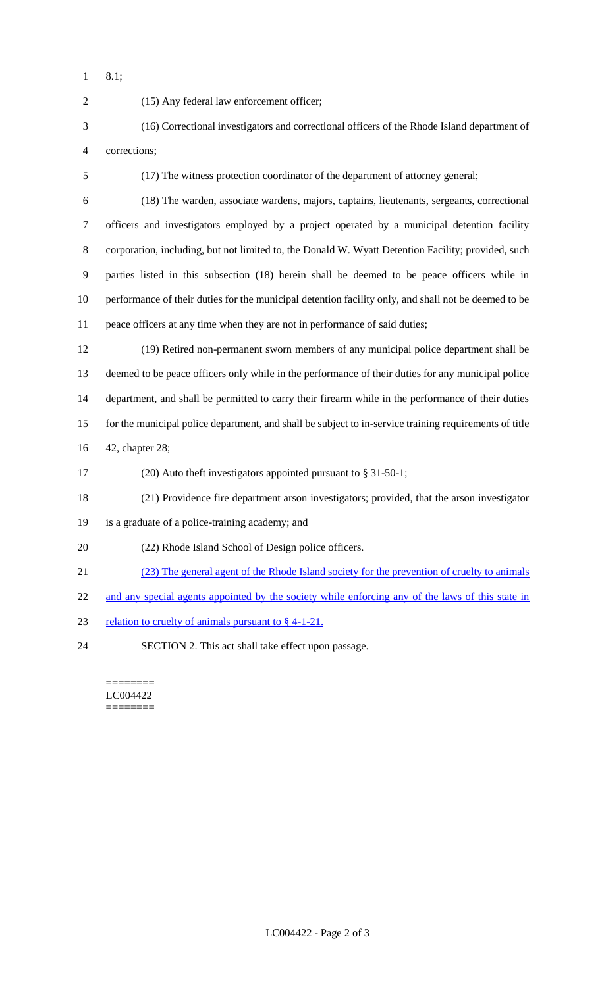8.1;

| $\overline{2}$ | (15) Any federal law enforcement officer;                                                              |
|----------------|--------------------------------------------------------------------------------------------------------|
| 3              | (16) Correctional investigators and correctional officers of the Rhode Island department of            |
| 4              | corrections;                                                                                           |
| 5              | (17) The witness protection coordinator of the department of attorney general;                         |
| 6              | (18) The warden, associate wardens, majors, captains, lieutenants, sergeants, correctional             |
| $\tau$         | officers and investigators employed by a project operated by a municipal detention facility            |
| 8              | corporation, including, but not limited to, the Donald W. Wyatt Detention Facility; provided, such     |
| 9              | parties listed in this subsection (18) herein shall be deemed to be peace officers while in            |
| 10             | performance of their duties for the municipal detention facility only, and shall not be deemed to be   |
| 11             | peace officers at any time when they are not in performance of said duties;                            |
| 12             | (19) Retired non-permanent sworn members of any municipal police department shall be                   |
| 13             | deemed to be peace officers only while in the performance of their duties for any municipal police     |
| 14             | department, and shall be permitted to carry their firearm while in the performance of their duties     |
| 15             | for the municipal police department, and shall be subject to in-service training requirements of title |
| 16             | 42, chapter 28;                                                                                        |
| 17             | (20) Auto theft investigators appointed pursuant to $\S 31-50-1$ ;                                     |
| 18             | (21) Providence fire department arson investigators; provided, that the arson investigator             |
| 19             | is a graduate of a police-training academy; and                                                        |
| 20             | (22) Rhode Island School of Design police officers.                                                    |
| 21             | (23) The general agent of the Rhode Island society for the prevention of cruelty to animals            |
| 22             | and any special agents appointed by the society while enforcing any of the laws of this state in       |
| 23             | relation to cruelty of animals pursuant to $\S$ 4-1-21.                                                |
| 24             | SECTION 2. This act shall take effect upon passage.                                                    |
|                |                                                                                                        |

LC004422  $=$